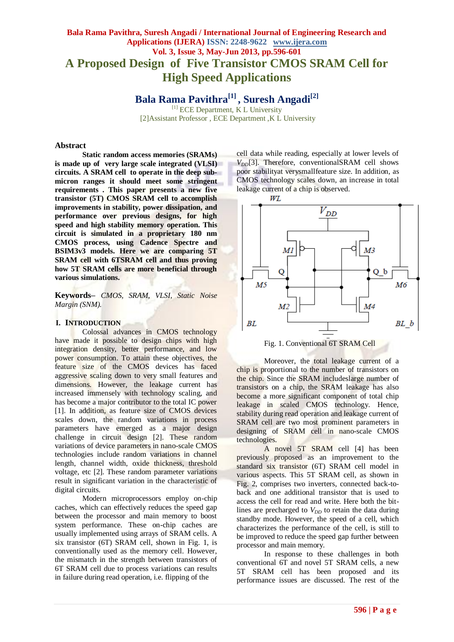# **Bala Rama Pavithra, Suresh Angadi / International Journal of Engineering Research and Applications (IJERA) ISSN: 2248-9622 www.ijera.com Vol. 3, Issue 3, May-Jun 2013, pp.596-601 A Proposed Design of Five Transistor CMOS SRAM Cell for High Speed Applications**

**Bala Rama Pavithra[1] , Suresh Angadi[2]**

<sup>[1]</sup> ECE Department, K L University [2]Assistant Professor , ECE Department ,K L University

#### **Abstract**

**Static random access memories (SRAMs) is made up of very large scale integrated (VLSI) circuits. A SRAM cell to operate in the deep submicron ranges it should meet some stringent requirements . This paper presents a new five transistor (5T) CMOS SRAM cell to accomplish improvements in stability, power dissipation, and performance over previous designs, for high speed and high stability memory operation. This circuit is simulated in a proprietary 180 nm CMOS process, using Cadence Spectre and BSIM3v3 models. Here we are comparing 5T SRAM cell with 6TSRAM cell and thus proving how 5T SRAM cells are more beneficial through various simulations.**

**Keywords–** *CMOS, SRAM, VLSI, Static Noise Margin (SNM).*

#### **I. INTRODUCTION**

Colossal advances in CMOS technology have made it possible to design chips with high integration density, better performance, and low power consumption. To attain these objectives, the feature size of the CMOS devices has faced aggressive scaling down to very small features and dimensions. However, the leakage current has increased immensely with technology scaling, and has become a major contributor to the total IC power [1]. In addition, as feature size of CMOS devices scales down, the random variations in process parameters have emerged as a major design challenge in circuit design [2]. These random variations of device parameters in nano-scale CMOS technologies include random variations in channel length, channel width, oxide thickness, threshold voltage, etc [2]. These random parameter variations result in significant variation in the characteristic of digital circuits.

Modern microprocessors employ on-chip caches, which can effectively reduces the speed gap between the processor and main memory to boost system performance. These on-chip caches are usually implemented using arrays of SRAM cells. A six transistor (6T) SRAM cell, shown in Fig. 1, is conventionally used as the memory cell. However, the mismatch in the strength between transistors of 6T SRAM cell due to process variations can results in failure during read operation, i.e. flipping of the

cell data while reading, especially at lower levels of  $V_{DD}[3]$ . Therefore, conventionalSRAM cell shows poor stabilityat verysmallfeature size. In addition, as CMOS technology scales down, an increase in total leakage current of a chip is observed.



Moreover, the total leakage current of a chip is proportional to the number of transistors on the chip. Since the SRAM includeslarge number of transistors on a chip, the SRAM leakage has also become a more significant component of total chip leakage in scaled CMOS technology. Hence, stability during read operation and leakage current of SRAM cell are two most prominent parameters in designing of SRAM cell in nano-scale CMOS technologies.

A novel 5T SRAM cell [4] has been previously proposed as an improvement to the standard six transistor (6T) SRAM cell model in various aspects. This 5T SRAM cell, as shown in Fig. 2, comprises two inverters, connected back-toback and one additional transistor that is used to access the cell for read and write. Here both the bitlines are precharged to  $V_{DD}$  to retain the data during standby mode. However, the speed of a cell, which characterizes the performance of the cell, is still to be improved to reduce the speed gap further between processor and main memory.

In response to these challenges in both conventional 6T and novel 5T SRAM cells, a new 5T SRAM cell has been proposed and its performance issues are discussed. The rest of the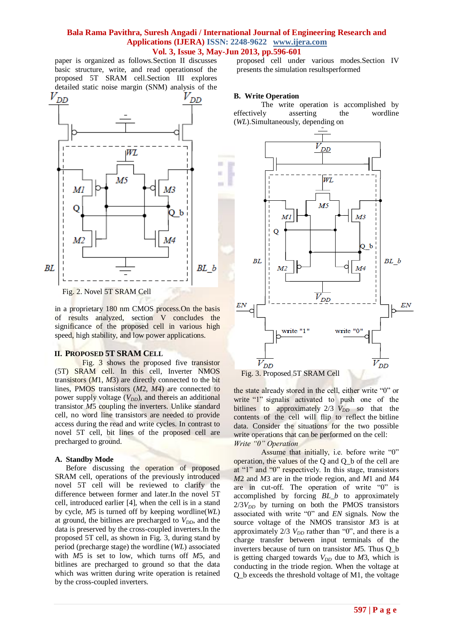paper is organized as follows.Section II discusses basic structure, write, and read operationsof the proposed 5T SRAM cell.Section III explores



in a proprietary 180 nm CMOS process.On the basis of results analyzed, section V concludes the significance of the proposed cell in various high speed, high stability, and low power applications.

## **II. PROPOSED 5T SRAM CELL**

Fig. 3 shows the proposed five transistor (5T) SRAM cell. In this cell, Inverter NMOS transistors (*M*1, *M*3) are directly connected to the bit lines, PMOS transistors (*M*2, *M*4) are connected to power supply voltage  $(V_{DD})$ , and thereis an additional transistor *M*5 coupling the inverters. Unlike standard cell, no word line transistors are needed to provide access during the read and write cycles. In contrast to novel 5T cell, bit lines of the proposed cell are precharged to ground.

#### **A. Standby Mode**

Before discussing the operation of proposed SRAM cell, operations of the previously introduced novel 5T cell will be reviewed to clarify the difference between former and later.In the novel 5T cell, introduced earlier [4], when the cell is in a stand by cycle, *M*5 is turned off by keeping wordline(*WL*) at ground, the bitlines are precharged to  $V_{DD}$ , and the data is preserved by the cross-coupled inverters.In the proposed 5T cell, as shown in Fig. 3, during stand by period (precharge stage) the wordline (*WL*) associated with *M*5 is set to low, which turns off *M*5, and bitlines are precharged to ground so that the data which was written during write operation is retained by the cross-coupled inverters.

proposed cell under various modes.Section IV presents the simulation resultsperformed

## **B. Write Operation**

The write operation is accomplished by effectively asserting the wordline (*WL*).Simultaneously, depending on



the state already stored in the cell, either write "0" or write "1" signalis activated to push one of the bitlines to approximately  $2/3$   $V_{DD}$  so that the contents of the cell will flip to reflect the bitline data. Consider the situations for the two possible write operations that can be performed on the cell: *Write "0" Operation*

Assume that initially, i.e. before write "0" operation, the values of the Q and Q\_b of the cell are at "1" and "0" respectively. In this stage, transistors *M*2 and *M*3 are in the triode region, and *M*1 and *M*4 are in cut-off. The operation of write "0" is accomplished by forcing *BL\_b* to approximately  $2/3V_{DD}$  by turning on both the PMOS transistors associated with write "0" and *EN* signals. Now the source voltage of the NMOS transistor *M*3 is at approximately  $2/3$   $V_{DD}$  rather than "0", and there is a charge transfer between input terminals of the inverters because of turn on transistor *M*5. Thus Q\_b is getting charged towards  $V_{DD}$  due to  $M3$ , which is conducting in the triode region. When the voltage at Q\_b exceeds the threshold voltage of M1, the voltage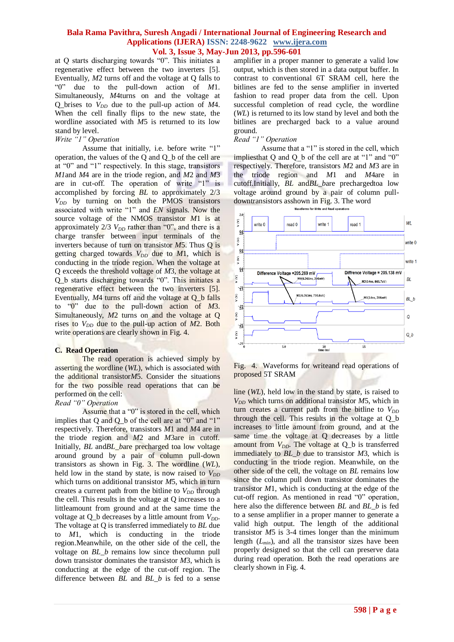at Q starts discharging towards "0". This initiates a regenerative effect between the two inverters [5]. Eventually, *M*2 turns off and the voltage at Q falls to "0" due to the pull-down action of *M*1. Simultaneously, *M*4turns on and the voltage at Q\_brises to *VDD* due to the pull-up action of *M*4. When the cell finally flips to the new state, the wordline associated with *M*5 is returned to its low stand by level.

#### *Write "1" Operation*

Assume that initially, i.e. before write "1" operation, the values of the Q and Q\_b of the cell are at "0" and "1" respectively. In this stage, transistors *M1*and *M*4 are in the triode region, and *M*2 and *M*3 are in cut-off. The operation of write "1" is accomplished by forcing *BL* to approximately 2/3  $V_{DD}$  by turning on both the PMOS transistors associated with write "1" and *EN* signals. Now the source voltage of the NMOS transistor *M*1 is at approximately 2/3  $V_{DD}$  rather than "0", and there is a charge transfer between input terminals of the inverters because of turn on transistor *M*5. Thus Q is getting charged towards  $V_{DD}$  due to  $M1$ , which is conducting in the triode region. When the voltage at Q exceeds the threshold voltage of *M*3, the voltage at Q\_b starts discharging towards "0". This initiates a regenerative effect between the two inverters [5]. Eventually, *M*4 turns off and the voltage at Q\_b falls to "0" due to the pull-down action of *M*3. Simultaneously, *M*2 turns on and the voltage at Q rises to  $V_{DD}$  due to the pull-up action of  $M2$ . Both write operations are clearly shown in Fig. 4.

## **C. Read Operation**

The read operation is achieved simply by asserting the wordline (*WL*), which is associated with the additional transistor*M*5. Consider the situations for the two possible read operations that can be performed on the cell:

#### *Read "0" Operation*

Assume that a "0" is stored in the cell, which implies that Q and Q\_b of the cell are at "0" and "1" respectively. Therefore, transistors *M*1 and *M*4 are in the triode region and *M*2 and *M*3are in cutoff. Initially, *BL* and*BL\_b*are precharged toa low voltage around ground by a pair of column pull-down transistors as shown in Fig. 3. The wordline (*WL*), held low in the stand by state, is now raised to  $V_{DD}$ which turns on additional transistor *M*5, which in turn creates a current path from the bitline to  $V_{DD}$  through the cell. This results in the voltage at Q increases to a littleamount from ground and at the same time the voltage at Q\_b decreases by a little amount from *VDD*. The voltage at Q is transferred immediately to *BL* due to *M*1, which is conducting in the triode region.Meanwhile, on the other side of the cell, the voltage on *BL b* remains low since the column pull down transistor dominates the transistor *M*3, which is conducting at the edge of the cut-off region. The difference between *BL* and *BL\_b* is fed to a sense amplifier in a proper manner to generate a valid low output, which is then stored in a data output buffer. In contrast to conventional 6T SRAM cell, here the bitlines are fed to the sense amplifier in inverted fashion to read proper data from the cell. Upon successful completion of read cycle, the wordline (*WL*) is returned to its low stand by level and both the bitlines are precharged back to a value around ground.

# *Read "1" Operation*

Assume that a "1" is stored in the cell, which impliesthat Q and Q b of the cell are at "1" and "0" respectively. Therefore, transistors *M*2 and *M*3 are in the triode region and *M*1 and *M*4are in cutoff.Initially, *BL* and*BL\_b*are prechargedtoa low voltage around ground by a pair of column pulldowntransistors asshown in Fig. 3. The word



Fig. 4. Waveforms for writeand read operations of proposed 5T SRAM

line (*WL*), held low in the stand by state, is raised to *VDD* which turns on additional transistor *M*5, which in turn creates a current path from the bitline to  $V_{DD}$ through the cell. This results in the voltage at Q\_b increases to little amount from ground, and at the same time the voltage at Q decreases by a little amount from  $V_{DD}$ . The voltage at  $Q_b$  is transferred immediately to *BL\_b* due to transistor *M*3, which is conducting in the triode region. Meanwhile, on the other side of the cell, the voltage on *BL* remains low since the column pull down transistor dominates the transistor *M*1, which is conducting at the edge of the cut-off region. As mentioned in read "0" operation, here also the difference between *BL* and *BL\_b* is fed to a sense amplifier in a proper manner to generate a valid high output. The length of the additional transistor *M*5 is 3-4 times longer than the minimum length (*Lmin*), and all the transistor sizes have been properly designed so that the cell can preserve data during read operation. Both the read operations are clearly shown in Fig. 4.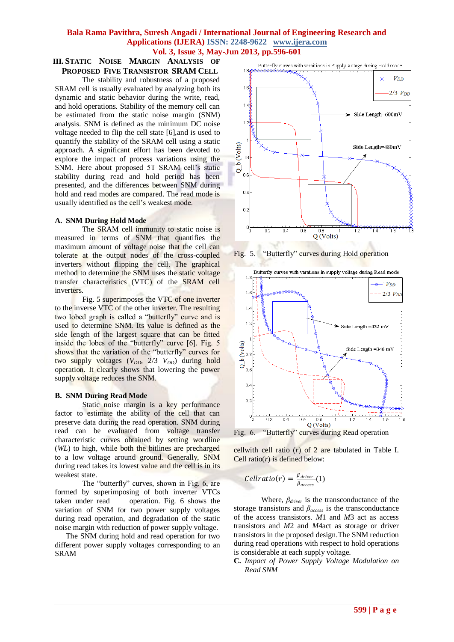#### **III. STATIC NOISE MARGIN ANALYSIS OF PROPOSED FIVE TRANSISTOR SRAM CELL**

The stability and robustness of a proposed SRAM cell is usually evaluated by analyzing both its dynamic and static behavior during the write, read, and hold operations. Stability of the memory cell can be estimated from the static noise margin (SNM) analysis. SNM is defined as the minimum DC noise voltage needed to flip the cell state [6],and is used to quantify the stability of the SRAM cell using a static approach. A significant effort has been devoted to explore the impact of process variations using the SNM. Here about proposed 5T SRAM cell's static stability during read and hold period has been presented, and the differences between SNM during hold and read modes are compared. The read mode is usually identified as the cell's weakest mode.

## **A. SNM During Hold Mode**

The SRAM cell immunity to static noise is measured in terms of SNM that quantifies the maximum amount of voltage noise that the cell can tolerate at the output nodes of the cross-coupled inverters without flipping the cell. The graphical method to determine the SNM uses the static voltage transfer characteristics (VTC) of the SRAM cell inverters.

Fig. 5 superimposes the VTC of one inverter to the inverse VTC of the other inverter. The resulting two lobed graph is called a "butterfly" curve and is used to determine SNM. Its value is defined as the side length of the largest square that can be fitted inside the lobes of the "butterfly" curve [6]. Fig. 5 shows that the variation of the "butterfly" curves for two supply voltages ( $V_{DD}$ , 2/3  $V_{DD}$ ) during hold operation. It clearly shows that lowering the power supply voltage reduces the SNM.

## **B. SNM During Read Mode**

Static noise margin is a key performance factor to estimate the ability of the cell that can preserve data during the read operation. SNM during read can be evaluated from voltage transfer characteristic curves obtained by setting wordline (*WL*) to high, while both the bitlines are precharged to a low voltage around ground. Generally, SNM during read takes its lowest value and the cell is in its weakest state.

The "butterfly" curves, shown in Fig. 6, are formed by superimposing of both inverter VTCs taken under read operation. Fig. 6 shows the variation of SNM for two power supply voltages during read operation, and degradation of the static noise margin with reduction of power supply voltage.

The SNM during hold and read operation for two different power supply voltages corresponding to an SRAM



Fig. 5. "Butterfly" curves during Hold operation



Fig. 6. "Butterfly" curves during Read operation

cellwith cell ratio (*r*) of 2 are tabulated in Table I. Cell ratio( $r$ ) is defined below:

$$
Cellratio(r) = \frac{\beta_{driver}}{\beta_{access}}(1)
$$

Where, *βdriver* is the transconductance of the storage transistors and *βaccess* is the transconductance of the access transistors. *M*1 and *M*3 act as access transistors and *M*2 and *M*4act as storage or driver transistors in the proposed design.The SNM reduction during read operations with respect to hold operations is considerable at each supply voltage.

**C.** *Impact of Power Supply Voltage Modulation on Read SNM*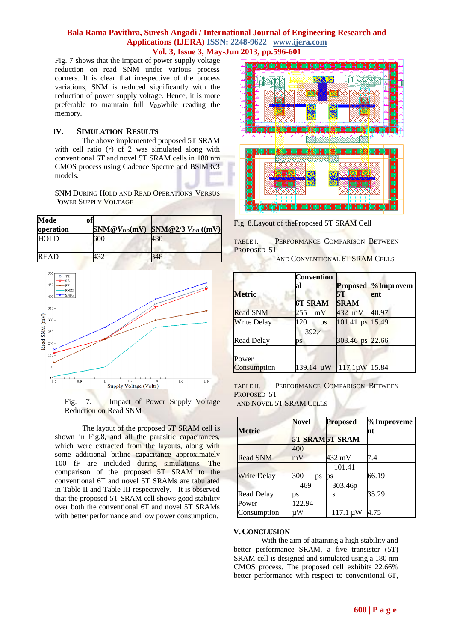Fig. 7 shows that the impact of power supply voltage reduction on read SNM under various process corners. It is clear that irrespective of the process variations, SNM is reduced significantly with the reduction of power supply voltage. Hence, it is more preferable to maintain full *V<sub>DD</sub>* while reading the memory.

## **IV. SIMULATION RESULTS**

The above implemented proposed 5T SRAM with cell ratio  $(r)$  of 2 was simulated along with conventional 6T and novel 5T SRAM cells in 180 nm CMOS process using Cadence Spectre and BSIM3v3 models.

SNM DURING HOLD AND READ OPERATIONS VERSUS POWER SUPPLY VOLTAGE

| Mode        | ofl |                                |                        |
|-------------|-----|--------------------------------|------------------------|
| operation   |     | $\text{SNM}@V_{DD}(\text{mV})$ | SNM@2/3 $V_{DD}$ ((mV) |
| <b>HOLD</b> |     | 600                            | 480                    |
| READ        |     | 120                            | 348                    |



Fig. 7. Impact of Power Supply Voltage Reduction on Read SNM

The layout of the proposed 5T SRAM cell is shown in Fig.8, and all the parasitic capacitances, which were extracted from the layouts, along with some additional bitline capacitance approximately 100 fF are included during simulations. The comparison of the proposed 5T SRAM to the conventional 6T and novel 5T SRAMs are tabulated in Table II and Table III respectively. It is observed that the proposed 5T SRAM cell shows good stability over both the conventional 6T and novel 5T SRAMs with better performance and low power consumption.



Fig. 8.Layout of theProposed 5T SRAM Cell

TABLE I. PERFORMANCE COMPARISON BETWEEN PROPOSED 5T

AND CONVENTIONAL 6T SRAM CELLS

| <b>Metric</b>      | <b>Convention</b><br>al | 5T              | <b>Proposed </b> %Improvem<br>ent |
|--------------------|-------------------------|-----------------|-----------------------------------|
|                    | <b>6T SRAM</b>          | <b>SRAM</b>     |                                   |
| <b>Read SNM</b>    | 255<br>mV               | 432 mV          | 40.97                             |
| <b>Write Delay</b> | 120<br>ps               | 101.41 ps 15.49 |                                   |
|                    | 392.4                   |                 |                                   |
| <b>Read Delay</b>  | рs                      | 303.46 ps 22.66 |                                   |
| Power              |                         |                 |                                   |
| Consumption        | $139.14 \mu W$          | 117.1µW 15.84   |                                   |

TABLE II. PERFORMANCE COMPARISON BETWEEN PROPOSED 5T AND NOVEL 5T SRAM CELLS

|                    | <b>Novel</b> | <b>Proposed</b>       | %Improveme |
|--------------------|--------------|-----------------------|------------|
| <b>Metric</b>      |              | <b>5T SRAMST SRAM</b> | nt         |
|                    | 400          |                       |            |
| <b>Read SNM</b>    | mV           | 432 mV                | 7.4        |
|                    |              | 101.41                |            |
| <b>Write Delay</b> | 300<br>ps    | $\mathbf{p}$ s        | 66.19      |
|                    | 469          | 303.46p               |            |
| Read Delay         | рs           | S                     | 35.29      |
| Power              | 122.94       |                       |            |
| Consumption        | иW           | $117.1 \mu W$         | 4.75       |

## **V.CONCLUSION**

With the aim of attaining a high stability and better performance SRAM, a five transistor (5T) SRAM cell is designed and simulated using a 180 nm CMOS process. The proposed cell exhibits 22.66% better performance with respect to conventional 6T,